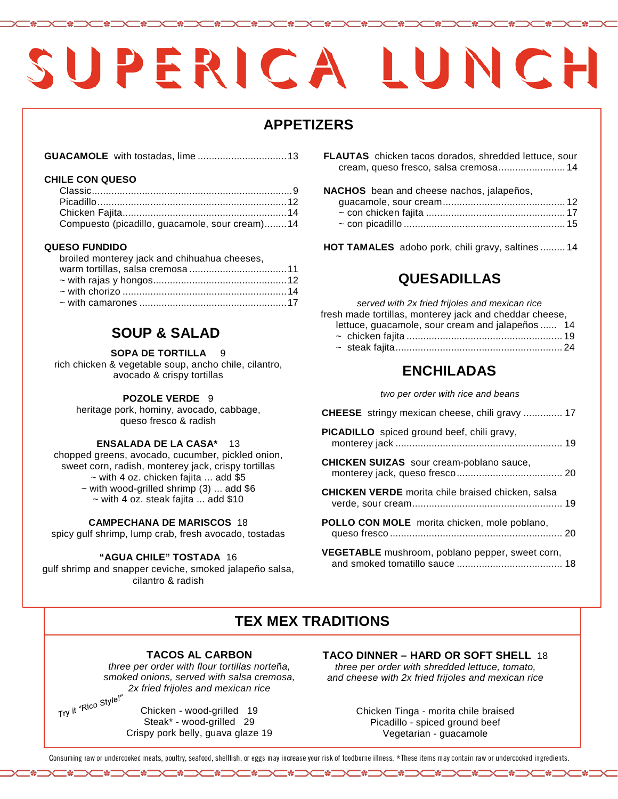# SUPERICA LUNCH

# **APPETIZERS**

|--|--|

### **CHILE CON QUESO**

| Compuesto (picadillo, guacamole, sour cream)14 |  |
|------------------------------------------------|--|

### **QUESO FUNDIDO**

| broiled monterey jack and chihuahua cheeses, |  |
|----------------------------------------------|--|
|                                              |  |
|                                              |  |
|                                              |  |
|                                              |  |

# **SOUP & SALAD**

### **SOPA DE TORTILLA**

rich chicken & vegetable soup, ancho chile, cilantro, avocado & crispy tortillas

### **POZOLE VERDE** 9

heritage pork, hominy, avocado, cabbage, queso fresco & radish

## **ENSALADA DE LA CASA\*** 13

chopped greens, avocado, cucumber, pickled onion, sweet corn, radish, monterey jack, crispy tortillas  $\sim$  with 4 oz. chicken fajita ... add \$5  $\sim$  with wood-grilled shrimp (3) ... add \$6  $\sim$  with 4 oz. steak fajita  $\ldots$  add \$10

### **CAMPECHANA DE MARISCOS** 18

spicy gulf shrimp, lump crab, fresh avocado, tostadas

### **"AGUA CHILE" TOSTADA** 16

gulf shrimp and snapper ceviche, smoked jalapeño salsa, cilantro & radish

**FLAUTAS** chicken tacos dorados, shredded lettuce, sour cream, queso fresco, salsa cremosa........................ 14

### **NACHOS** bean and cheese nachos, jalapeños,

**HOT TAMALES** adobo pork, chili gravy, saltines ......... 14

# **QUESADILLAS**

 $served$  with 2x fried frijoles and mexican rice fresh made tortillas, monterey jack and cheddar cheese, lettuce, guacamole, sour cream and jalapeños ...... 14

# **ENCHILADAS**

*two per order with rice and beans*

| <b>CHEESE</b> stringy mexican cheese, chili gravy  17    |
|----------------------------------------------------------|
| PICADILLO spiced ground beef, chili gravy,               |
| <b>CHICKEN SUIZAS</b> sour cream-poblano sauce,          |
| <b>CHICKEN VERDE</b> morita chile braised chicken, salsa |
| POLLO CON MOLE morita chicken, mole poblano,             |
| VEGETABLE mushroom, poblano pepper, sweet corn,          |

# **TEX MEX TRADITIONS**

# **TACOS AL CARBON**

*three per order with flour tortillas norte*ñ*a, smoked onions, served with salsa cremosa, 2x fried frijoles and mexican rice*

Try it "Rico Style!"

Chicken - wood-grilled 19 Steak\* - wood-grilled 29 Crispy pork belly, guava glaze 19 **TACO DINNER – HARD OR SOFT SHELL** 18 *three per order with shredded lettuce, tomato, and cheese with 2x fried frijoles and mexican rice*

> Chicken Tinga - morita chile braised Picadillo - spiced ground beef Vegetarian - guacamole

Consuming raw or undercooked meats, poultry, seafood, shellfish, or eggs may increase your risk of foodborne illness. \*These items may contain raw or undercooked ingredients.